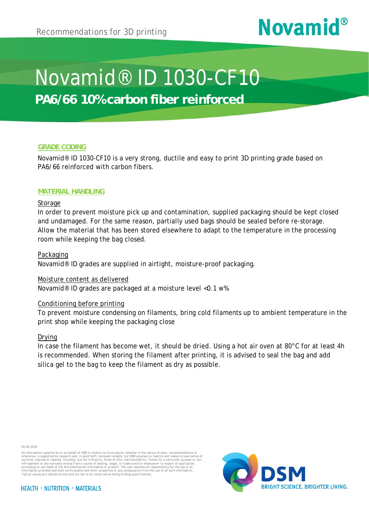# **Novamid®**

## Novamid® ID 1030-CF10

ID 1030-CF10

**PA6/66 10% carbon fiber reinforced**

#### **GRADE CODING**

Novamid® ID 1030-CF10 is a very strong, ductile and easy to print 3D printing grade based on PA6/66 reinforced with carbon fibers.

#### **MATERIAL HANDLING**

#### Storage

In order to prevent moisture pick up and contamination, supplied packaging should be kept closed and undamaged. For the same reason, partially used bags should be sealed before re-storage. Allow the material that has been stored elsewhere to adapt to the temperature in the processing room while keeping the bag closed.

#### Packaging

Novamid® ID grades are supplied in airtight, moisture-proof packaging.

Moisture content as delivered

Novamid® ID grades are packaged at a moisture level <0.1 w%

#### Conditioning before printing

To prevent moisture condensing on filaments, bring cold filaments up to ambient temperature in the print shop while keeping the packaging close

#### Drying

In case the filament has become wet, it should be dried. Using a hot air oven at 80°C for at least 4h is recommended. When storing the filament after printing, it is advised to seal the bag and add silica gel to the bag to keep the filament as dry as possible.

04.09.2018



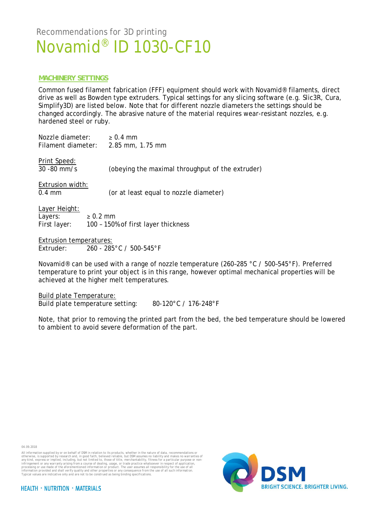#### **MACHINERY SETTINGS**

Common fused filament fabrication (FFF) equipment should work with Novamid® filaments, direct drive as well as Bowden type extruders. Typical settings for any slicing software (e.g. Slic3R, Cura, Simplify3D) are listed below. Note that for different nozzle diameters the settings should be changed accordingly. The abrasive nature of the material requires wear-resistant nozzles, e.g. hardened steel or ruby.

| Nozzle diameter:<br>Filament diameter:   | $\geq 0.4$ mm<br>2.85 mm, 1.75 mm                    |
|------------------------------------------|------------------------------------------------------|
| Print Speed:<br>$30 - 80$ mm/s           | (obeying the maximal throughput of the extruder)     |
| Extrusion width:<br>$0.4$ mm             | (or at least equal to nozzle diameter)               |
| Layer Height:<br>Layers:<br>First layer: | $\geq 0.2$ mm<br>100 - 150% of first layer thickness |

Extrusion temperatures: Extruder: 260 - 285°C / 500-545°F

Novamid® can be used with a range of nozzle temperature (260–285 °C / 500–545°F). Preferred temperature to print your object is in this range, however optimal mechanical properties will be achieved at the higher melt temperatures.

Build plate Temperature: Build plate temperature setting: 80-120°C / 176-248°F

 Note, that prior to removing the printed part from the bed, the bed temperature should be lowered to ambient to avoid severe deformation of the part.

04.09.2018

All information supplied by or on behalf of DSM in relation to its products, whether in the nature of data, recommendations or otherwise, is supported by research and, in good faith, believed reliable, but OSM assumes on l



**HEALTH · NUTRITION · MATERIALS**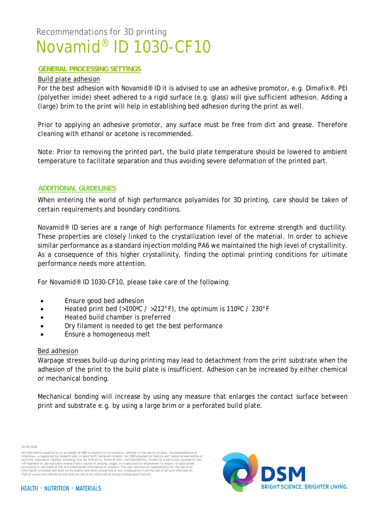#### **GENERAL PROCESSING SETTINGS**

#### Build plate adhesion

For the best adhesion with Novamid® ID it is advised to use an adhesive promotor, e.g. Dimafix®. PEI (polyether imide) sheet adhered to a rigid surface (e.g. glass) will give sufficient adhesion. Adding a (large) brim to the print will help in establishing bed adhesion during the print as well.

Prior to applying an adhesive promotor, any surface must be free from dirt and grease. Therefore cleaning with ethanol or acetone is recommended.

Note: Prior to removing the printed part, the build plate temperature should be lowered to ambient temperature to facilitate separation and thus avoiding severe deformation of the printed part.

#### **ADDITIONAL GUIDELINES**

When entering the world of high performance polyamides for 3D printing, care should be taken of certain requirements and boundary conditions.

Novamid® ID series are a range of high performance filaments for extreme strength and ductility. These properties are closely linked to the crystallization level of the material. In order to achieve similar performance as a standard injection molding PA6 we maintained the high level of crystallinity. As a consequence of this higher crystallinity, finding the optimal printing conditions for ultimate performance needs more attention.

For Novamid® ID 1030-CF10, please take care of the following:

- Ensure good bed adhesion
- · Heated print bed (>100ºC / >212°F), the optimum is 110ºC / 230°F
- · Heated build chamber is preferred
- Dry filament is needed to get the best performance
- Ensure a homogeneous melt

#### Bed adhesion

Warpage stresses build-up during printing may lead to detachment from the print substrate when the adhesion of the print to the build plate is insufficient. Adhesion can be increased by either chemical or mechanical bonding.

Mechanical bonding will increase by using any measure that enlarges the contact surface between print and substrate e.g. by using a large brim or a perforated build plate.

04.09.2018



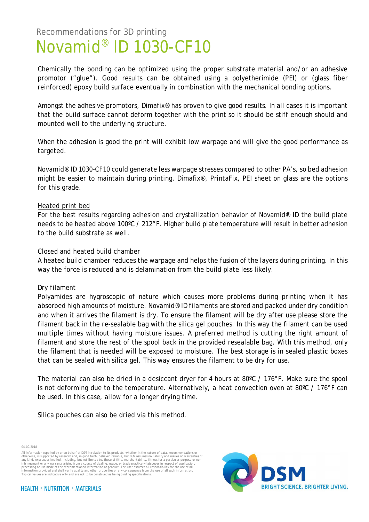Chemically the bonding can be optimized using the proper substrate material and/or an adhesive promotor ("glue"). Good results can be obtained using a polyetherimide (PEI) or (glass fiber reinforced) epoxy build surface eventually in combination with the mechanical bonding options.

Amongst the adhesive promotors, Dimafix® has proven to give good results. In all cases it is important that the build surface cannot deform together with the print so it should be stiff enough should and mounted well to the underlying structure.

When the adhesion is good the print will exhibit low warpage and will give the good performance as targeted.

Novamid® ID 1030-CF10 could generate less warpage stresses compared to other PA's, so bed adhesion might be easier to maintain during printing. Dimafix®, PrintaFix, PEI sheet on glass are the options for this grade.

#### Heated print bed

For the best results regarding adhesion and crystallization behavior of Novamid® ID the build plate needs to be heated above 100ºC / 212°F. Higher build plate temperature will result in better adhesion to the build substrate as well.

#### Closed and heated build chamber

A heated build chamber reduces the warpage and helps the fusion of the layers during printing. In this way the force is reduced and is delamination from the build plate less likely.

#### Dry filament

Polyamides are hygroscopic of nature which causes more problems during printing when it has absorbed high amounts of moisture. Novamid® ID filaments are stored and packed under dry condition and when it arrives the filament is dry. To ensure the filament will be dry after use please store the filament back in the re-sealable bag with the silica gel pouches. In this way the filament can be used multiple times without having moisture issues. A preferred method is cutting the right amount of filament and store the rest of the spool back in the provided resealable bag. With this method, only the filament that is needed will be exposed to moisture. The best storage is in sealed plastic boxes that can be sealed with silica gel. This way ensures the filament to be dry for use.

The material can also be dried in a desiccant dryer for 4 hours at 80ºC / 176°F. Make sure the spool is not deforming due to the temperature. Alternatively, a heat convection oven at 80ºC / 176°F can be used. In this case, allow for a longer drying time.

Silica pouches can also be dried via this method.

04.09.2018